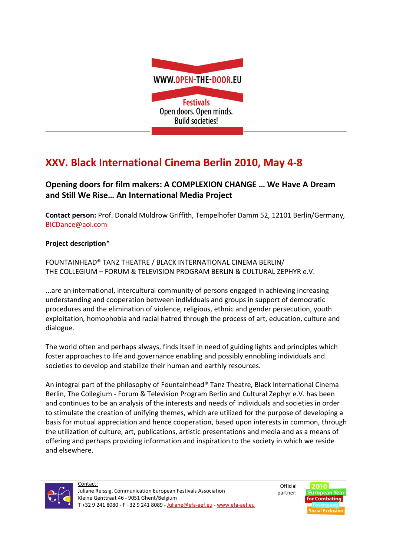

## XXV. Black International Cinema Berlin 2010, May 4-8

## Opening doors for film makers: A COMPLEXION CHANGE … We Have A Dream and Still We Rise… An International Media Project

Contact person: Prof. Donald Muldrow Griffith, Tempelhofer Damm 52, 12101 Berlin/Germany, BICDance@aol.com

## Project description\*

FOUNTAINHEAD® TANZ THEATRE / BLACK INTERNATIONAL CINEMA BERLIN/ THE COLLEGIUM – FORUM & TELEVISION PROGRAM BERLIN & CULTURAL ZEPHYR e.V.

...are an international, intercultural community of persons engaged in achieving increasing understanding and cooperation between individuals and groups in support of democratic procedures and the elimination of violence, religious, ethnic and gender persecution, youth exploitation, homophobia and racial hatred through the process of art, education, culture and dialogue.

The world often and perhaps always, finds itself in need of guiding lights and principles which foster approaches to life and governance enabling and possibly ennobling individuals and societies to develop and stabilize their human and earthly resources.

An integral part of the philosophy of Fountainhead® Tanz Theatre, Black International Cinema Berlin, The Collegium - Forum & Television Program Berlin and Cultural Zephyr e.V. has been and continues to be an analysis of the interests and needs of individuals and societies in order to stimulate the creation of unifying themes, which are utilized for the purpose of developing a basis for mutual appreciation and hence cooperation, based upon interests in common, through the utilization of culture, art, publications, artistic presentations and media and as a means of offering and perhaps providing information and inspiration to the society in which we reside and elsewhere.



**Official** partner: